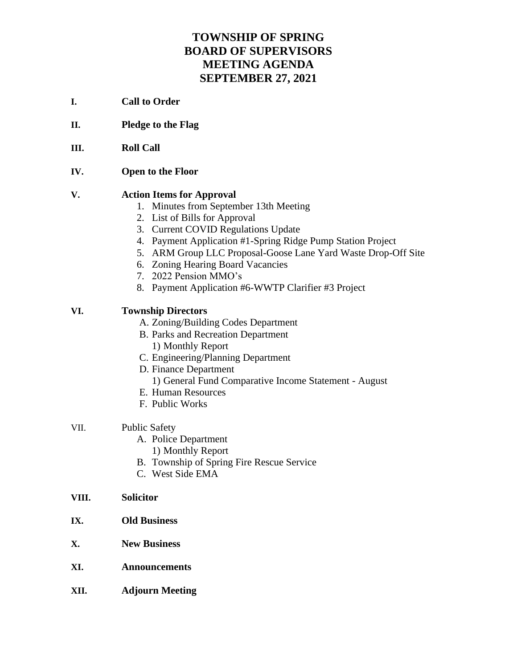# **TOWNSHIP OF SPRING BOARD OF SUPERVISORS MEETING AGENDA SEPTEMBER 27, 2021**

- **I. Call to Order**
- **II. Pledge to the Flag**
- **III. Roll Call**
- **IV. Open to the Floor**

### **V. Action Items for Approval**

- 1. Minutes from September 13th Meeting
- 2. List of Bills for Approval
- 3. Current COVID Regulations Update
- 4. Payment Application #1-Spring Ridge Pump Station Project
- 5. ARM Group LLC Proposal-Goose Lane Yard Waste Drop-Off Site
- 6. Zoning Hearing Board Vacancies
- 7. 2022 Pension MMO's
- 8. Payment Application #6-WWTP Clarifier #3 Project

## **VI. Township Directors**

- A. Zoning/Building Codes Department
- B. Parks and Recreation Department 1) Monthly Report
- C. Engineering/Planning Department
- D. Finance Department
	- 1) General Fund Comparative Income Statement August
- E. Human Resources
- F. Public Works

### VII. Public Safety

- A. Police Department
	- 1) Monthly Report
- B. Township of Spring Fire Rescue Service
- C. West Side EMA

#### **VIII. Solicitor**

- **IX. Old Business**
- **X. New Business**
- **XI. Announcements**
- **XII. Adjourn Meeting**